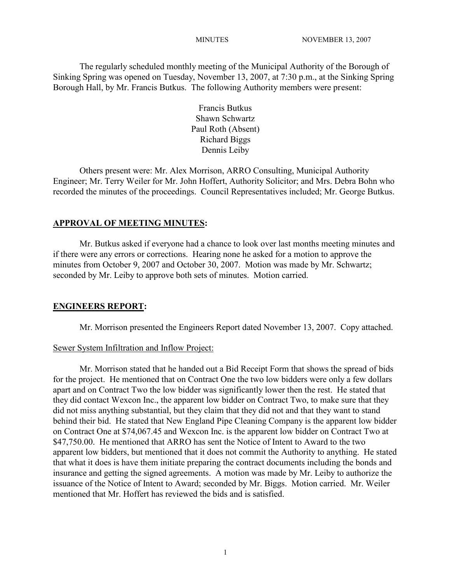The regularly scheduled monthly meeting of the Municipal Authority of the Borough of Sinking Spring was opened on Tuesday, November 13, 2007, at 7:30 p.m., at the Sinking Spring Borough Hall, by Mr. Francis Butkus. The following Authority members were present:

> Francis Butkus Shawn Schwartz Paul Roth (Absent) Richard Biggs Dennis Leiby

Others present were: Mr. Alex Morrison, ARRO Consulting, Municipal Authority Engineer; Mr. Terry Weiler for Mr. John Hoffert, Authority Solicitor; and Mrs. Debra Bohn who recorded the minutes of the proceedings. Council Representatives included; Mr. George Butkus.

# **APPROVAL OF MEETING MINUTES:**

Mr. Butkus asked if everyone had a chance to look over last months meeting minutes and if there were any errors or corrections. Hearing none he asked for a motion to approve the minutes from October 9, 2007 and October 30, 2007. Motion was made by Mr. Schwartz; seconded by Mr. Leiby to approve both sets of minutes. Motion carried.

# **ENGINEERS REPORT:**

Mr. Morrison presented the Engineers Report dated November 13, 2007. Copy attached.

# Sewer System Infiltration and Inflow Project:

Mr. Morrison stated that he handed out a Bid Receipt Form that shows the spread of bids for the project. He mentioned that on Contract One the two low bidders were only a few dollars apart and on Contract Two the low bidder was significantly lower then the rest. He stated that they did contact Wexcon Inc., the apparent low bidder on Contract Two, to make sure that they did not miss anything substantial, but they claim that they did not and that they want to stand behind their bid. He stated that New England Pipe Cleaning Company is the apparent low bidder on Contract One at \$74,067.45 and Wexcon Inc. is the apparent low bidder on Contract Two at \$47,750.00. He mentioned that ARRO has sent the Notice of Intent to Award to the two apparent low bidders, but mentioned that it does not commit the Authority to anything. He stated that what it does is have them initiate preparing the contract documents including the bonds and insurance and getting the signed agreements. A motion was made by Mr. Leiby to authorize the issuance of the Notice of Intent to Award; seconded by Mr. Biggs. Motion carried. Mr. Weiler mentioned that Mr. Hoffert has reviewed the bids and is satisfied.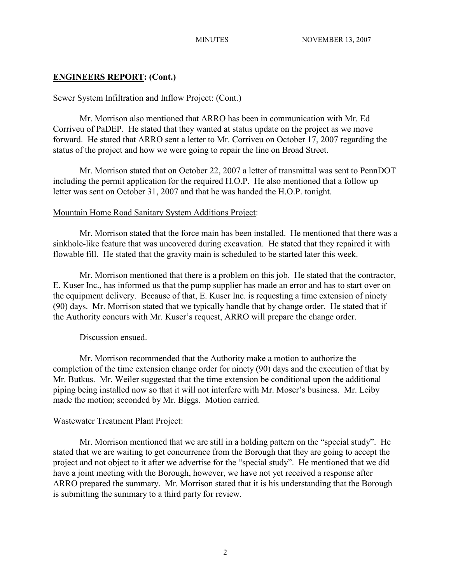## **ENGINEERS REPORT: (Cont.)**

## Sewer System Infiltration and Inflow Project: (Cont.)

Mr. Morrison also mentioned that ARRO has been in communication with Mr. Ed Corriveu of PaDEP. He stated that they wanted at status update on the project as we move forward. He stated that ARRO sent a letter to Mr. Corriveu on October 17, 2007 regarding the status of the project and how we were going to repair the line on Broad Street.

Mr. Morrison stated that on October 22, 2007 a letter of transmittal was sent to PennDOT including the permit application for the required H.O.P. He also mentioned that a follow up letter was sent on October 31, 2007 and that he was handed the H.O.P. tonight.

#### Mountain Home Road Sanitary System Additions Project:

Mr. Morrison stated that the force main has been installed. He mentioned that there was a sinkhole-like feature that was uncovered during excavation. He stated that they repaired it with flowable fill. He stated that the gravity main is scheduled to be started later this week.

Mr. Morrison mentioned that there is a problem on this job. He stated that the contractor, E. Kuser Inc., has informed us that the pump supplier has made an error and has to start over on the equipment delivery. Because of that, E. Kuser Inc. is requesting a time extension of ninety (90) days. Mr. Morrison stated that we typically handle that by change order. He stated that if the Authority concurs with Mr. Kuser's request, ARRO will prepare the change order.

## Discussion ensued.

Mr. Morrison recommended that the Authority make a motion to authorize the completion of the time extension change order for ninety (90) days and the execution of that by Mr. Butkus. Mr. Weiler suggested that the time extension be conditional upon the additional piping being installed now so that it will not interfere with Mr. Moser's business. Mr. Leiby made the motion; seconded by Mr. Biggs. Motion carried.

#### Wastewater Treatment Plant Project:

Mr. Morrison mentioned that we are still in a holding pattern on the "special study". He stated that we are waiting to get concurrence from the Borough that they are going to accept the project and not object to it after we advertise for the "special study". He mentioned that we did have a joint meeting with the Borough, however, we have not yet received a response after ARRO prepared the summary. Mr. Morrison stated that it is his understanding that the Borough is submitting the summary to a third party for review.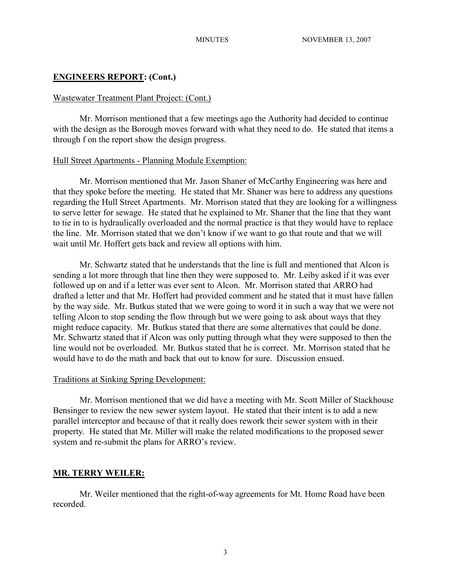# **ENGINEERS REPORT: (Cont.)**

## Wastewater Treatment Plant Project: (Cont.)

Mr. Morrison mentioned that a few meetings ago the Authority had decided to continue with the design as the Borough moves forward with what they need to do. He stated that items a through f on the report show the design progress.

#### Hull Street Apartments - Planning Module Exemption:

Mr. Morrison mentioned that Mr. Jason Shaner of McCarthy Engineering was here and that they spoke before the meeting. He stated that Mr. Shaner was here to address any questions regarding the Hull Street Apartments. Mr. Morrison stated that they are looking for a willingness to serve letter for sewage. He stated that he explained to Mr. Shaner that the line that they want to tie in to is hydraulically overloaded and the normal practice is that they would have to replace the line. Mr. Morrison stated that we don't know if we want to go that route and that we will wait until Mr. Hoffert gets back and review all options with him.

Mr. Schwartz stated that he understands that the line is full and mentioned that Alcon is sending a lot more through that line then they were supposed to. Mr. Leiby asked if it was ever followed up on and if a letter was ever sent to Alcon. Mr. Morrison stated that ARRO had drafted a letter and that Mr. Hoffert had provided comment and he stated that it must have fallen by the way side. Mr. Butkus stated that we were going to word it in such a way that we were not telling Alcon to stop sending the flow through but we were going to ask about ways that they might reduce capacity. Mr. Butkus stated that there are some alternatives that could be done. Mr. Schwartz stated that if Alcon was only putting through what they were supposed to then the line would not be overloaded. Mr. Butkus stated that he is correct. Mr. Morrison stated that he would have to do the math and back that out to know for sure. Discussion ensued.

#### Traditions at Sinking Spring Development:

Mr. Morrison mentioned that we did have a meeting with Mr. Scott Miller of Stackhouse Bensinger to review the new sewer system layout. He stated that their intent is to add a new parallel interceptor and because of that it really does rework their sewer system with in their property. He stated that Mr. Miller will make the related modifications to the proposed sewer system and re-submit the plans for ARRO's review.

## **MR. TERRY WEILER:**

Mr. Weiler mentioned that the right-of-way agreements for Mt. Home Road have been recorded.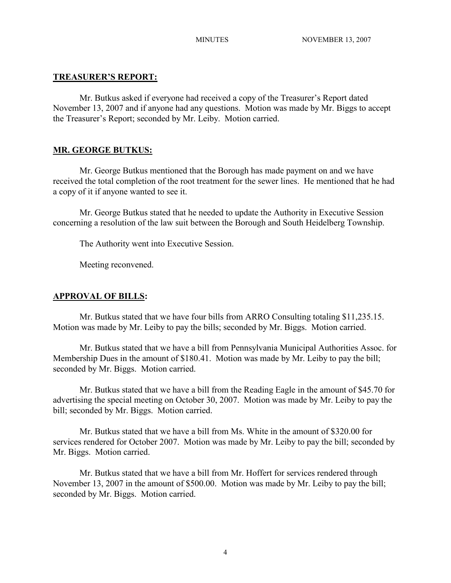## **TREASURER'S REPORT:**

Mr. Butkus asked if everyone had received a copy of the Treasurer's Report dated November 13, 2007 and if anyone had any questions. Motion was made by Mr. Biggs to accept the Treasurer's Report; seconded by Mr. Leiby. Motion carried.

## **MR. GEORGE BUTKUS:**

Mr. George Butkus mentioned that the Borough has made payment on and we have received the total completion of the root treatment for the sewer lines. He mentioned that he had a copy of it if anyone wanted to see it.

Mr. George Butkus stated that he needed to update the Authority in Executive Session concerning a resolution of the law suit between the Borough and South Heidelberg Township.

The Authority went into Executive Session.

Meeting reconvened.

#### **APPROVAL OF BILLS:**

Mr. Butkus stated that we have four bills from ARRO Consulting totaling \$11,235.15. Motion was made by Mr. Leiby to pay the bills; seconded by Mr. Biggs. Motion carried.

Mr. Butkus stated that we have a bill from Pennsylvania Municipal Authorities Assoc. for Membership Dues in the amount of \$180.41. Motion was made by Mr. Leiby to pay the bill; seconded by Mr. Biggs. Motion carried.

Mr. Butkus stated that we have a bill from the Reading Eagle in the amount of \$45.70 for advertising the special meeting on October 30, 2007. Motion was made by Mr. Leiby to pay the bill; seconded by Mr. Biggs. Motion carried.

Mr. Butkus stated that we have a bill from Ms. White in the amount of \$320.00 for services rendered for October 2007. Motion was made by Mr. Leiby to pay the bill; seconded by Mr. Biggs. Motion carried.

Mr. Butkus stated that we have a bill from Mr. Hoffert for services rendered through November 13, 2007 in the amount of \$500.00. Motion was made by Mr. Leiby to pay the bill; seconded by Mr. Biggs. Motion carried.